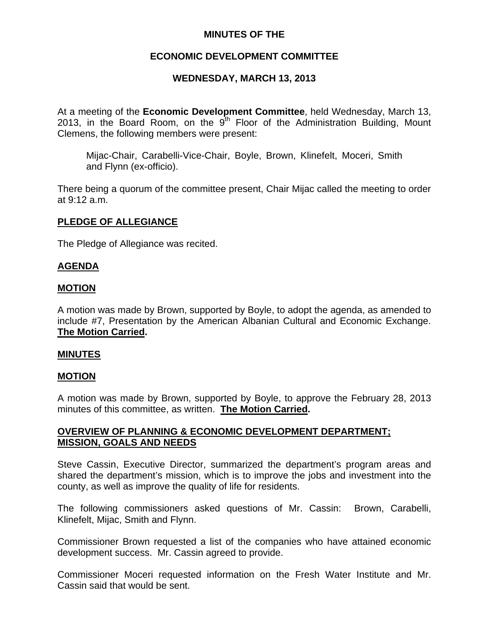# **MINUTES OF THE**

## **ECONOMIC DEVELOPMENT COMMITTEE**

## **WEDNESDAY, MARCH 13, 2013**

At a meeting of the **Economic Development Committee**, held Wednesday, March 13, 2013, in the Board Room, on the  $9<sup>th</sup>$  Floor of the Administration Building, Mount Clemens, the following members were present:

Mijac-Chair, Carabelli-Vice-Chair, Boyle, Brown, Klinefelt, Moceri, Smith and Flynn (ex-officio).

There being a quorum of the committee present, Chair Mijac called the meeting to order at 9:12 a.m.

#### **PLEDGE OF ALLEGIANCE**

The Pledge of Allegiance was recited.

#### **AGENDA**

#### **MOTION**

A motion was made by Brown, supported by Boyle, to adopt the agenda, as amended to include #7, Presentation by the American Albanian Cultural and Economic Exchange. **The Motion Carried.** 

#### **MINUTES**

#### **MOTION**

A motion was made by Brown, supported by Boyle, to approve the February 28, 2013 minutes of this committee, as written. **The Motion Carried.** 

### **OVERVIEW OF PLANNING & ECONOMIC DEVELOPMENT DEPARTMENT; MISSION, GOALS AND NEEDS**

Steve Cassin, Executive Director, summarized the department's program areas and shared the department's mission, which is to improve the jobs and investment into the county, as well as improve the quality of life for residents.

The following commissioners asked questions of Mr. Cassin: Brown, Carabelli, Klinefelt, Mijac, Smith and Flynn.

Commissioner Brown requested a list of the companies who have attained economic development success. Mr. Cassin agreed to provide.

Commissioner Moceri requested information on the Fresh Water Institute and Mr. Cassin said that would be sent.